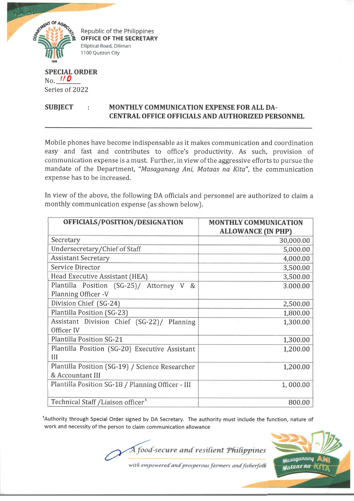

**Republic of the Philippines OFFICE OF THE SECRETARY** Elliptical Road, Diliman 1100 Quezon City

## **SPECIAL ORDER** No. *ff 0* Series of 2022

## SUBJECT : MONTHLY COMMUNICATION EXPENSE FOR ALL DA-**CENTRAL OFFICE OFFICIALS AND AUTHORIZED PERSONNEL**

Mobile phones have become indispensable as it makes communication and coordination easy and fast and contributes to office's productivity. As such, provision of communication expense is a must. Further, in view of the aggressive efforts to pursue the mandate of the Department, *"Masaganang Ani, Mataas na Kita",* the communication expense has to be increased.

In view of the above, the following DA officials and personnel are authorized to claim a monthly communication expense (as shown below).

| OFFICIALS/POSITION/DESIGNATION                    | <b>MONTHLY COMMUNICATION</b><br><b>ALLOWANCE (IN PHP)</b> |
|---------------------------------------------------|-----------------------------------------------------------|
| Secretary                                         | 30,000.00                                                 |
| Undersecretary/Chief of Staff                     | 5,000.00                                                  |
| <b>Assistant Secretary</b>                        | 4,000.00                                                  |
| Service Director                                  | 3,500.00                                                  |
| Head Executive Assistant (HEA)                    | 3,500.00                                                  |
| Plantilla Position (SG-25)/ Attorney V &          | 3.000.00                                                  |
| Planning Officer -V                               |                                                           |
| Division Chief (SG-24)                            | 2,500.00                                                  |
| Plantilla Position (SG-23)                        | 1,800.00                                                  |
| Assistant Division Chief (SG-22)/ Planning        | 1,300.00                                                  |
| Officer IV                                        |                                                           |
| <b>Plantilla Position SG-21</b>                   | 1,300.00                                                  |
| Plantilla Position (SG-20) Executive Assistant    | 1,200.00                                                  |
| Ш                                                 |                                                           |
| Plantilla Position (SG-19) / Science Researcher   | 1,200.00                                                  |
| & Accountant III                                  |                                                           |
| Plantilla Position SG-18 / Planning Officer - III | 1,000.00                                                  |
|                                                   |                                                           |
| Technical Staff / Liaison officer                 | 800.00                                                    |

'Authority through Special Order signed by DA Secretary. The authority must include the function, nature of work and necessity of the person to claim communication allowance

A food-secure and resilient Philippines



with empowered and prosperous farmers and fisherfolk